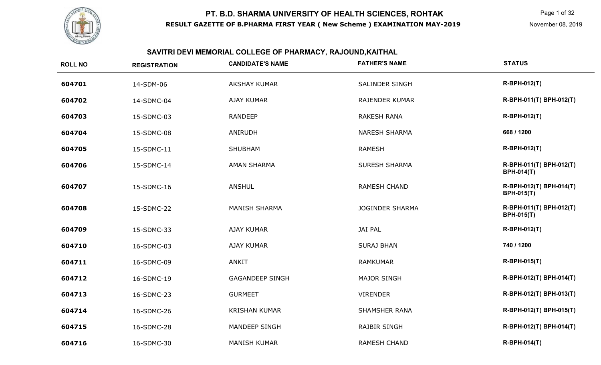

# **SAVITRI DEVI MEMORIAL COLLEGE OF PHARMACY, RAJOUND,KAITHAL**

| <b>ROLL NO</b> | <b>REGISTRATION</b> | <b>CANDIDATE'S NAME</b> | <b>FATHER'S NAME</b>   | <b>STATUS</b>                                |
|----------------|---------------------|-------------------------|------------------------|----------------------------------------------|
| 604701         | 14-SDM-06           | <b>AKSHAY KUMAR</b>     | <b>SALINDER SINGH</b>  | R-BPH-012(T)                                 |
| 604702         | 14-SDMC-04          | <b>AJAY KUMAR</b>       | <b>RAJENDER KUMAR</b>  | R-BPH-011(T) BPH-012(T)                      |
| 604703         | 15-SDMC-03          | <b>RANDEEP</b>          | <b>RAKESH RANA</b>     | R-BPH-012(T)                                 |
| 604704         | 15-SDMC-08          | ANIRUDH                 | <b>NARESH SHARMA</b>   | 668 / 1200                                   |
| 604705         | 15-SDMC-11          | <b>SHUBHAM</b>          | <b>RAMESH</b>          | R-BPH-012(T)                                 |
| 604706         | 15-SDMC-14          | <b>AMAN SHARMA</b>      | <b>SURESH SHARMA</b>   | R-BPH-011(T) BPH-012(T)<br><b>BPH-014(T)</b> |
| 604707         | 15-SDMC-16          | <b>ANSHUL</b>           | <b>RAMESH CHAND</b>    | R-BPH-012(T) BPH-014(T)<br><b>BPH-015(T)</b> |
| 604708         | 15-SDMC-22          | <b>MANISH SHARMA</b>    | <b>JOGINDER SHARMA</b> | R-BPH-011(T) BPH-012(T)<br><b>BPH-015(T)</b> |
| 604709         | 15-SDMC-33          | <b>AJAY KUMAR</b>       | <b>JAI PAL</b>         | R-BPH-012(T)                                 |
| 604710         | 16-SDMC-03          | <b>AJAY KUMAR</b>       | <b>SURAJ BHAN</b>      | 740 / 1200                                   |
| 604711         | 16-SDMC-09          | <b>ANKIT</b>            | <b>RAMKUMAR</b>        | <b>R-BPH-015(T)</b>                          |
| 604712         | 16-SDMC-19          | <b>GAGANDEEP SINGH</b>  | <b>MAJOR SINGH</b>     | R-BPH-012(T) BPH-014(T)                      |
| 604713         | 16-SDMC-23          | <b>GURMEET</b>          | <b>VIRENDER</b>        | R-BPH-012(T) BPH-013(T)                      |
| 604714         | 16-SDMC-26          | <b>KRISHAN KUMAR</b>    | <b>SHAMSHER RANA</b>   | R-BPH-012(T) BPH-015(T)                      |
| 604715         | 16-SDMC-28          | MANDEEP SINGH           | <b>RAJBIR SINGH</b>    | R-BPH-012(T) BPH-014(T)                      |
| 604716         | 16-SDMC-30          | <b>MANISH KUMAR</b>     | <b>RAMESH CHAND</b>    | <b>R-BPH-014(T)</b>                          |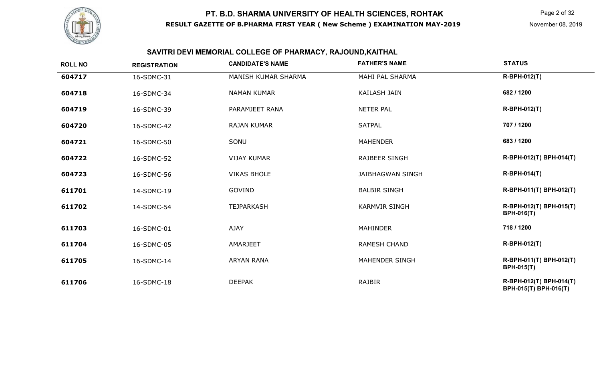

Page 2 of 32

# **SAVITRI DEVI MEMORIAL COLLEGE OF PHARMACY, RAJOUND,KAITHAL**

| <b>ROLL NO</b> | <b>REGISTRATION</b> | <b>CANDIDATE'S NAME</b> | <b>FATHER'S NAME</b>    | <b>STATUS</b>                                    |
|----------------|---------------------|-------------------------|-------------------------|--------------------------------------------------|
| 604717         | 16-SDMC-31          | MANISH KUMAR SHARMA     | MAHI PAL SHARMA         | R-BPH-012(T)                                     |
| 604718         | 16-SDMC-34          | <b>NAMAN KUMAR</b>      | <b>KAILASH JAIN</b>     | 682 / 1200                                       |
| 604719         | 16-SDMC-39          | PARAMJEET RANA          | <b>NETER PAL</b>        | <b>R-BPH-012(T)</b>                              |
| 604720         | 16-SDMC-42          | <b>RAJAN KUMAR</b>      | <b>SATPAL</b>           | 707 / 1200                                       |
| 604721         | 16-SDMC-50          | SONU                    | <b>MAHENDER</b>         | 683 / 1200                                       |
| 604722         | 16-SDMC-52          | <b>VIJAY KUMAR</b>      | <b>RAJBEER SINGH</b>    | R-BPH-012(T) BPH-014(T)                          |
| 604723         | 16-SDMC-56          | <b>VIKAS BHOLE</b>      | <b>JAIBHAGWAN SINGH</b> | <b>R-BPH-014(T)</b>                              |
| 611701         | 14-SDMC-19          | GOVIND                  | <b>BALBIR SINGH</b>     | R-BPH-011(T) BPH-012(T)                          |
| 611702         | 14-SDMC-54          | <b>TEJPARKASH</b>       | <b>KARMVIR SINGH</b>    | R-BPH-012(T) BPH-015(T)<br><b>BPH-016(T)</b>     |
| 611703         | 16-SDMC-01          | <b>AJAY</b>             | <b>MAHINDER</b>         | 718 / 1200                                       |
| 611704         | 16-SDMC-05          | AMARJEET                | <b>RAMESH CHAND</b>     | <b>R-BPH-012(T)</b>                              |
| 611705         | 16-SDMC-14          | <b>ARYAN RANA</b>       | <b>MAHENDER SINGH</b>   | R-BPH-011(T) BPH-012(T)<br><b>BPH-015(T)</b>     |
| 611706         | 16-SDMC-18          | <b>DEEPAK</b>           | RAJBIR                  | R-BPH-012(T) BPH-014(T)<br>BPH-015(T) BPH-016(T) |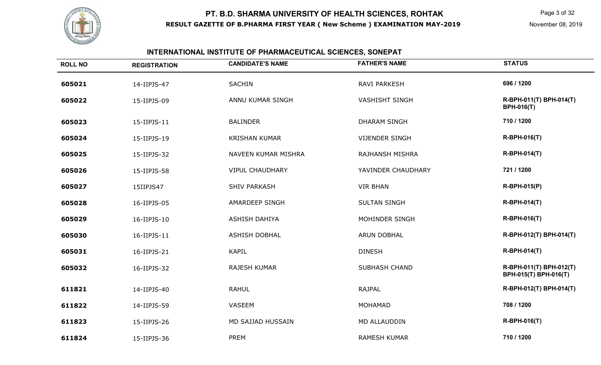

# **INTERNATIONAL INSTITUTE OF PHARMACEUTICAL SCIENCES, SONEPAT**

| <b>ROLL NO</b> | <b>REGISTRATION</b> | <b>CANDIDATE'S NAME</b> | <b>FATHER'S NAME</b>  | <b>STATUS</b>                                    |
|----------------|---------------------|-------------------------|-----------------------|--------------------------------------------------|
| 605021         | 14-IIPJS-47         | <b>SACHIN</b>           | <b>RAVI PARKESH</b>   | 696 / 1200                                       |
| 605022         | 15-IIPJS-09         | ANNU KUMAR SINGH        | <b>VASHISHT SINGH</b> | R-BPH-011(T) BPH-014(T)<br><b>BPH-016(T)</b>     |
| 605023         | 15-IIPJS-11         | <b>BALINDER</b>         | <b>DHARAM SINGH</b>   | 710 / 1200                                       |
| 605024         | 15-IIPJS-19         | <b>KRISHAN KUMAR</b>    | <b>VIJENDER SINGH</b> | <b>R-BPH-016(T)</b>                              |
| 605025         | 15-IIPJS-32         | NAVEEN KUMAR MISHRA     | RAJHANSH MISHRA       | <b>R-BPH-014(T)</b>                              |
| 605026         | 15-IIPJS-58         | <b>VIPUL CHAUDHARY</b>  | YAVINDER CHAUDHARY    | 721 / 1200                                       |
| 605027         | 15IIPJS47           | <b>SHIV PARKASH</b>     | <b>VIR BHAN</b>       | R-BPH-015(P)                                     |
| 605028         | 16-IIPJS-05         | AMARDEEP SINGH          | <b>SULTAN SINGH</b>   | <b>R-BPH-014(T)</b>                              |
| 605029         | 16-IIPJS-10         | ASHISH DAHIYA           | MOHINDER SINGH        | R-BPH-016(T)                                     |
| 605030         | 16-IIPJS-11         | <b>ASHISH DOBHAL</b>    | ARUN DOBHAL           | R-BPH-012(T) BPH-014(T)                          |
| 605031         | 16-IIPJS-21         | <b>KAPIL</b>            | <b>DINESH</b>         | <b>R-BPH-014(T)</b>                              |
| 605032         | 16-IIPJS-32         | <b>RAJESH KUMAR</b>     | <b>SUBHASH CHAND</b>  | R-BPH-011(T) BPH-012(T)<br>BPH-015(T) BPH-016(T) |
| 611821         | 14-IIPJS-40         | <b>RAHUL</b>            | <b>RAJPAL</b>         | R-BPH-012(T) BPH-014(T)                          |
| 611822         | 14-IIPJS-59         | <b>VASEEM</b>           | MOHAMAD               | 708 / 1200                                       |
| 611823         | 15-IIPJS-26         | MD SAJJAD HUSSAIN       | MD ALLAUDDIN          | <b>R-BPH-016(T)</b>                              |
| 611824         | 15-IIPJS-36         | <b>PREM</b>             | <b>RAMESH KUMAR</b>   | 710 / 1200                                       |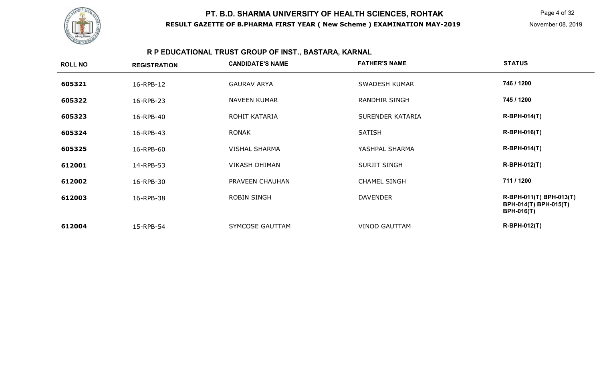

# **R P EDUCATIONAL TRUST GROUP OF INST., BASTARA, KARNAL**

| <b>ROLL NO</b> | <b>REGISTRATION</b> | <b>CANDIDATE'S NAME</b> | <b>FATHER'S NAME</b> | <b>STATUS</b>                                                         |
|----------------|---------------------|-------------------------|----------------------|-----------------------------------------------------------------------|
| 605321         | 16-RPB-12           | <b>GAURAV ARYA</b>      | <b>SWADESH KUMAR</b> | 746 / 1200                                                            |
| 605322         | 16-RPB-23           | <b>NAVEEN KUMAR</b>     | <b>RANDHIR SINGH</b> | 745 / 1200                                                            |
| 605323         | 16-RPB-40           | ROHIT KATARIA           | SURENDER KATARIA     | <b>R-BPH-014(T)</b>                                                   |
| 605324         | 16-RPB-43           | <b>RONAK</b>            | <b>SATISH</b>        | <b>R-BPH-016(T)</b>                                                   |
| 605325         | 16-RPB-60           | <b>VISHAL SHARMA</b>    | YASHPAL SHARMA       | <b>R-BPH-014(T)</b>                                                   |
| 612001         | 14-RPB-53           | <b>VIKASH DHIMAN</b>    | <b>SURJIT SINGH</b>  | <b>R-BPH-012(T)</b>                                                   |
| 612002         | 16-RPB-30           | PRAVEEN CHAUHAN         | <b>CHAMEL SINGH</b>  | 711 / 1200                                                            |
| 612003         | 16-RPB-38           | <b>ROBIN SINGH</b>      | <b>DAVENDER</b>      | R-BPH-011(T) BPH-013(T)<br>BPH-014(T) BPH-015(T)<br><b>BPH-016(T)</b> |
| 612004         | 15-RPB-54           | SYMCOSE GAUTTAM         | <b>VINOD GAUTTAM</b> | <b>R-BPH-012(T)</b>                                                   |
|                |                     |                         |                      |                                                                       |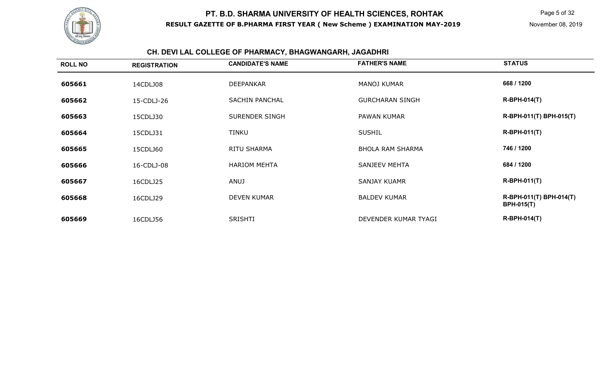

#### **CH. DEVI LAL COLLEGE OF PHARMACY, BHAGWANGARH, JAGADHRI**

| <b>ROLL NO</b> | <b>REGISTRATION</b> | <b>CANDIDATE'S NAME</b> | <b>FATHER'S NAME</b>    | <b>STATUS</b>                                |
|----------------|---------------------|-------------------------|-------------------------|----------------------------------------------|
| 605661         | 14CDLJ08            | <b>DEEPANKAR</b>        | <b>MANOJ KUMAR</b>      | 668 / 1200                                   |
| 605662         | 15-CDLJ-26          | <b>SACHIN PANCHAL</b>   | <b>GURCHARAN SINGH</b>  | <b>R-BPH-014(T)</b>                          |
| 605663         | 15CDLJ30            | SURENDER SINGH          | <b>PAWAN KUMAR</b>      | R-BPH-011(T) BPH-015(T)                      |
| 605664         | 15CDLJ31            | TINKU                   | <b>SUSHIL</b>           | $R-BPH-011(T)$                               |
| 605665         | 15CDLJ60            | RITU SHARMA             | <b>BHOLA RAM SHARMA</b> | 746 / 1200                                   |
| 605666         | 16-CDLJ-08          | <b>HARIOM MEHTA</b>     | SANJEEV MEHTA           | 684 / 1200                                   |
| 605667         | 16CDLJ25            | ANUJ                    | <b>SANJAY KUAMR</b>     | <b>R-BPH-011(T)</b>                          |
| 605668         | 16CDLJ29            | <b>DEVEN KUMAR</b>      | <b>BALDEV KUMAR</b>     | R-BPH-011(T) BPH-014(T)<br><b>BPH-015(T)</b> |
| 605669         | 16CDLJ56            | <b>SRISHTI</b>          | DEVENDER KUMAR TYAGI    | <b>R-BPH-014(T)</b>                          |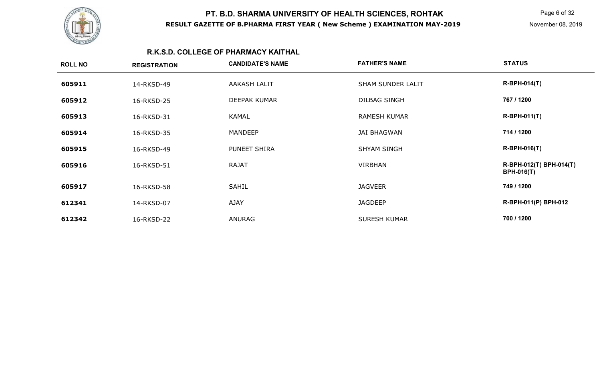

Page 6 of 32

#### **R.K.S.D. COLLEGE OF PHARMACY KAITHAL**

| <b>ROLL NO</b> | <b>REGISTRATION</b> | <b>CANDIDATE'S NAME</b> | <b>FATHER'S NAME</b> | <b>STATUS</b>                                |
|----------------|---------------------|-------------------------|----------------------|----------------------------------------------|
| 605911         | 14-RKSD-49          | AAKASH LALIT            | SHAM SUNDER LALIT    | <b>R-BPH-014(T)</b>                          |
| 605912         | 16-RKSD-25          | <b>DEEPAK KUMAR</b>     | <b>DILBAG SINGH</b>  | 767 / 1200                                   |
| 605913         | 16-RKSD-31          | <b>KAMAL</b>            | <b>RAMESH KUMAR</b>  | <b>R-BPH-011(T)</b>                          |
| 605914         | 16-RKSD-35          | <b>MANDEEP</b>          | <b>JAI BHAGWAN</b>   | 714 / 1200                                   |
| 605915         | 16-RKSD-49          | PUNEET SHIRA            | <b>SHYAM SINGH</b>   | <b>R-BPH-016(T)</b>                          |
| 605916         | 16-RKSD-51          | <b>RAJAT</b>            | <b>VIRBHAN</b>       | R-BPH-012(T) BPH-014(T)<br><b>BPH-016(T)</b> |
| 605917         | 16-RKSD-58          | <b>SAHIL</b>            | <b>JAGVEER</b>       | 749 / 1200                                   |
| 612341         | 14-RKSD-07          | AJAY                    | <b>JAGDEEP</b>       | R-BPH-011(P) BPH-012                         |
| 612342         | 16-RKSD-22          | ANURAG                  | <b>SURESH KUMAR</b>  | 700 / 1200                                   |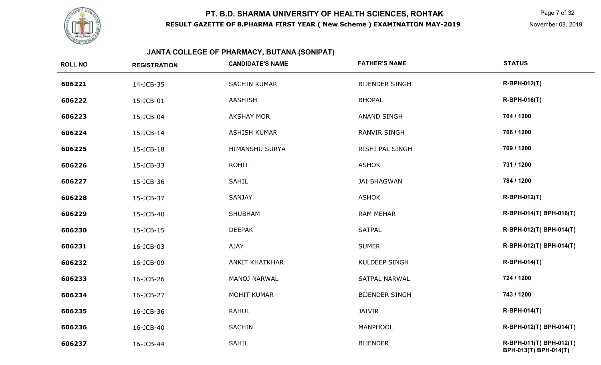

# **JANTA COLLEGE OF PHARMACY, BUTANA (SONIPAT)**

| <b>ROLL NO</b> | <b>REGISTRATION</b> | <b>CANDIDATE'S NAME</b> | <b>FATHER'S NAME</b>  | <b>STATUS</b>                                    |
|----------------|---------------------|-------------------------|-----------------------|--------------------------------------------------|
| 606221         | 14-JCB-35           | <b>SACHIN KUMAR</b>     | <b>BIJENDER SINGH</b> | R-BPH-012(T)                                     |
| 606222         | 15-JCB-01           | AASHISH                 | <b>BHOPAL</b>         | <b>R-BPH-016(T)</b>                              |
| 606223         | 15-JCB-04           | <b>AKSHAY MOR</b>       | <b>ANAND SINGH</b>    | 704 / 1200                                       |
| 606224         | 15-JCB-14           | <b>ASHISH KUMAR</b>     | <b>RANVIR SINGH</b>   | 706 / 1200                                       |
| 606225         | 15-JCB-18           | <b>HIMANSHU SURYA</b>   | RISHI PAL SINGH       | 709 / 1200                                       |
| 606226         | 15-JCB-33           | <b>ROHIT</b>            | <b>ASHOK</b>          | 731 / 1200                                       |
| 606227         | 15-JCB-36           | SAHIL                   | <b>JAI BHAGWAN</b>    | 784 / 1200                                       |
| 606228         | 15-JCB-37           | SANJAY                  | <b>ASHOK</b>          | <b>R-BPH-012(T)</b>                              |
| 606229         | 15-JCB-40           | <b>SHUBHAM</b>          | <b>RAM MEHAR</b>      | R-BPH-014(T) BPH-016(T)                          |
| 606230         | 15-JCB-15           | <b>DEEPAK</b>           | <b>SATPAL</b>         | R-BPH-012(T) BPH-014(T)                          |
| 606231         | 16-JCB-03           | AJAY                    | <b>SUMER</b>          | R-BPH-012(T) BPH-014(T)                          |
| 606232         | 16-JCB-09           | <b>ANKIT KHATKHAR</b>   | <b>KULDEEP SINGH</b>  | <b>R-BPH-014(T)</b>                              |
| 606233         | 16-JCB-26           | MANOJ NARWAL            | <b>SATPAL NARWAL</b>  | 724 / 1200                                       |
| 606234         | 16-JCB-27           | <b>MOHIT KUMAR</b>      | <b>BIJENDER SINGH</b> | 743 / 1200                                       |
| 606235         | 16-JCB-36           | <b>RAHUL</b>            | <b>JAIVIR</b>         | <b>R-BPH-014(T)</b>                              |
| 606236         | 16-JCB-40           | SACHIN                  | MANPHOOL              | R-BPH-012(T) BPH-014(T)                          |
| 606237         | 16-JCB-44           | <b>SAHIL</b>            | <b>BIJENDER</b>       | R-BPH-011(T) BPH-012(T)<br>BPH-013(T) BPH-014(T) |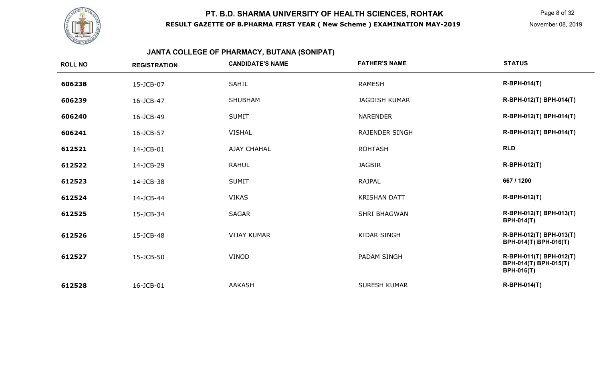

Page 8 of 32

# **JANTA COLLEGE OF PHARMACY, BUTANA (SONIPAT)**

| <b>ROLL NO</b> | <b>REGISTRATION</b> | <b>CANDIDATE'S NAME</b> | <b>FATHER'S NAME</b>  | <b>STATUS</b>                                                         |
|----------------|---------------------|-------------------------|-----------------------|-----------------------------------------------------------------------|
| 606238         | 15-JCB-07           | <b>SAHIL</b>            | <b>RAMESH</b>         | <b>R-BPH-014(T)</b>                                                   |
| 606239         | 16-JCB-47           | <b>SHUBHAM</b>          | <b>JAGDISH KUMAR</b>  | R-BPH-012(T) BPH-014(T)                                               |
| 606240         | 16-JCB-49           | <b>SUMIT</b>            | <b>NARENDER</b>       | R-BPH-012(T) BPH-014(T)                                               |
| 606241         | 16-JCB-57           | <b>VISHAL</b>           | <b>RAJENDER SINGH</b> | R-BPH-012(T) BPH-014(T)                                               |
| 612521         | 14-JCB-01           | <b>AJAY CHAHAL</b>      | <b>ROHTASH</b>        | <b>RLD</b>                                                            |
| 612522         | 14-JCB-29           | <b>RAHUL</b>            | <b>JAGBIR</b>         | <b>R-BPH-012(T)</b>                                                   |
| 612523         | 14-JCB-38           | <b>SUMIT</b>            | <b>RAJPAL</b>         | 667 / 1200                                                            |
| 612524         | 14-JCB-44           | <b>VIKAS</b>            | <b>KRISHAN DATT</b>   | <b>R-BPH-012(T)</b>                                                   |
| 612525         | 15-JCB-34           | <b>SAGAR</b>            | <b>SHRI BHAGWAN</b>   | R-BPH-012(T) BPH-013(T)<br><b>BPH-014(T)</b>                          |
| 612526         | 15-JCB-48           | <b>VIJAY KUMAR</b>      | <b>KIDAR SINGH</b>    | R-BPH-012(T) BPH-013(T)<br>BPH-014(T) BPH-016(T)                      |
| 612527         | 15-JCB-50           | <b>VINOD</b>            | <b>PADAM SINGH</b>    | R-BPH-011(T) BPH-012(T)<br>BPH-014(T) BPH-015(T)<br><b>BPH-016(T)</b> |
| 612528         | 16-JCB-01           | <b>AAKASH</b>           | <b>SURESH KUMAR</b>   | <b>R-BPH-014(T)</b>                                                   |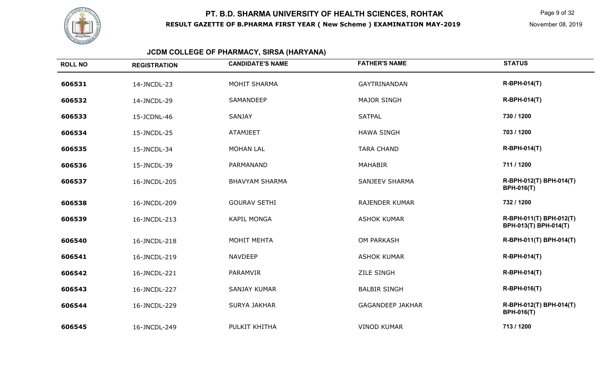

Page 9 of 32

# **JCDM COLLEGE OF PHARMACY, SIRSA (HARYANA)**

| <b>ROLL NO</b> | <b>REGISTRATION</b> | <b>CANDIDATE'S NAME</b> | <b>FATHER'S NAME</b>    | <b>STATUS</b>                                    |
|----------------|---------------------|-------------------------|-------------------------|--------------------------------------------------|
| 606531         | 14-JNCDL-23         | <b>MOHIT SHARMA</b>     | <b>GAYTRINANDAN</b>     | <b>R-BPH-014(T)</b>                              |
| 606532         | 14-JNCDL-29         | SAMANDEEP               | <b>MAJOR SINGH</b>      | <b>R-BPH-014(T)</b>                              |
| 606533         | 15-JCDNL-46         | <b>SANJAY</b>           | <b>SATPAL</b>           | 730 / 1200                                       |
| 606534         | 15-JNCDL-25         | <b>ATAMJEET</b>         | <b>HAWA SINGH</b>       | 703 / 1200                                       |
| 606535         | 15-JNCDL-34         | <b>MOHAN LAL</b>        | <b>TARA CHAND</b>       | <b>R-BPH-014(T)</b>                              |
| 606536         | 15-JNCDL-39         | PARMANAND               | <b>MAHABIR</b>          | 711 / 1200                                       |
| 606537         | 16-JNCDL-205        | <b>BHAVYAM SHARMA</b>   | <b>SANJEEV SHARMA</b>   | R-BPH-012(T) BPH-014(T)<br><b>BPH-016(T)</b>     |
| 606538         | 16-JNCDL-209        | <b>GOURAV SETHI</b>     | <b>RAJENDER KUMAR</b>   | 732 / 1200                                       |
| 606539         | 16-JNCDL-213        | <b>KAPIL MONGA</b>      | <b>ASHOK KUMAR</b>      | R-BPH-011(T) BPH-012(T)<br>BPH-013(T) BPH-014(T) |
| 606540         | 16-JNCDL-218        | <b>MOHIT MEHTA</b>      | OM PARKASH              | R-BPH-011(T) BPH-014(T)                          |
| 606541         | 16-JNCDL-219        | <b>NAVDEEP</b>          | <b>ASHOK KUMAR</b>      | <b>R-BPH-014(T)</b>                              |
| 606542         | 16-JNCDL-221        | PARAMVIR                | <b>ZILE SINGH</b>       | <b>R-BPH-014(T)</b>                              |
| 606543         | 16-JNCDL-227        | <b>SANJAY KUMAR</b>     | <b>BALBIR SINGH</b>     | <b>R-BPH-016(T)</b>                              |
| 606544         | 16-JNCDL-229        | <b>SURYA JAKHAR</b>     | <b>GAGANDEEP JAKHAR</b> | R-BPH-012(T) BPH-014(T)<br><b>BPH-016(T)</b>     |
| 606545         | 16-JNCDL-249        | PULKIT KHITHA           | <b>VINOD KUMAR</b>      | 713 / 1200                                       |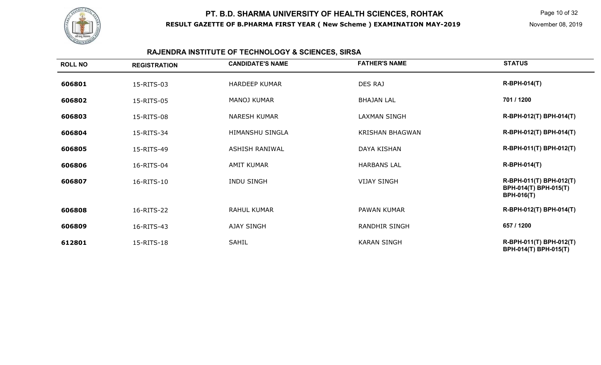

# **RAJENDRA INSTITUTE OF TECHNOLOGY & SCIENCES, SIRSA**

| <b>ROLL NO</b> | <b>REGISTRATION</b> | <b>CANDIDATE'S NAME</b> | <b>FATHER'S NAME</b>   | <b>STATUS</b>                                                         |
|----------------|---------------------|-------------------------|------------------------|-----------------------------------------------------------------------|
| 606801         | 15-RITS-03          | <b>HARDEEP KUMAR</b>    | DES RAJ                | $R-BPH-014(T)$                                                        |
| 606802         | 15-RITS-05          | <b>MANOJ KUMAR</b>      | <b>BHAJAN LAL</b>      | 701 / 1200                                                            |
| 606803         | 15-RITS-08          | <b>NARESH KUMAR</b>     | <b>LAXMAN SINGH</b>    | R-BPH-012(T) BPH-014(T)                                               |
| 606804         | 15-RITS-34          | HIMANSHU SINGLA         | <b>KRISHAN BHAGWAN</b> | R-BPH-012(T) BPH-014(T)                                               |
| 606805         | 15-RITS-49          | <b>ASHISH RANIWAL</b>   | <b>DAYA KISHAN</b>     | R-BPH-011(T) BPH-012(T)                                               |
| 606806         | 16-RITS-04          | <b>AMIT KUMAR</b>       | <b>HARBANS LAL</b>     | <b>R-BPH-014(T)</b>                                                   |
| 606807         | 16-RITS-10          | <b>INDU SINGH</b>       | <b>VIJAY SINGH</b>     | R-BPH-011(T) BPH-012(T)<br>BPH-014(T) BPH-015(T)<br><b>BPH-016(T)</b> |
| 606808         | 16-RITS-22          | <b>RAHUL KUMAR</b>      | PAWAN KUMAR            | R-BPH-012(T) BPH-014(T)                                               |
| 606809         | 16-RITS-43          | <b>AJAY SINGH</b>       | <b>RANDHIR SINGH</b>   | 657 / 1200                                                            |
| 612801         | 15-RITS-18          | <b>SAHIL</b>            | <b>KARAN SINGH</b>     | R-BPH-011(T) BPH-012(T)<br>BPH-014(T) BPH-015(T)                      |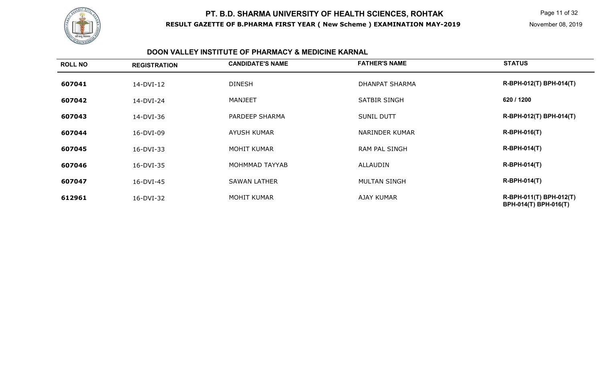

#### **DOON VALLEY INSTITUTE OF PHARMACY & MEDICINE KARNAL**

| <b>ROLL NO</b> | <b>REGISTRATION</b> | <b>CANDIDATE'S NAME</b> | <b>FATHER'S NAME</b>  | <b>STATUS</b>                                    |
|----------------|---------------------|-------------------------|-----------------------|--------------------------------------------------|
| 607041         | 14-DVI-12           | <b>DINESH</b>           | <b>DHANPAT SHARMA</b> | R-BPH-012(T) BPH-014(T)                          |
| 607042         | 14-DVI-24           | MANJEET                 | SATBIR SINGH          | 620 / 1200                                       |
| 607043         | 14-DVI-36           | PARDEEP SHARMA          | <b>SUNIL DUTT</b>     | R-BPH-012(T) BPH-014(T)                          |
| 607044         | 16-DVI-09           | AYUSH KUMAR             | <b>NARINDER KUMAR</b> | <b>R-BPH-016(T)</b>                              |
| 607045         | 16-DVI-33           | MOHIT KUMAR             | RAM PAL SINGH         | <b>R-BPH-014(T)</b>                              |
| 607046         | 16-DVI-35           | MOHMMAD TAYYAB          | ALLAUDIN              | <b>R-BPH-014(T)</b>                              |
| 607047         | 16-DVI-45           | <b>SAWAN LATHER</b>     | <b>MULTAN SINGH</b>   | <b>R-BPH-014(T)</b>                              |
| 612961         | 16-DVI-32           | <b>MOHIT KUMAR</b>      | <b>AJAY KUMAR</b>     | R-BPH-011(T) BPH-012(T)<br>BPH-014(T) BPH-016(T) |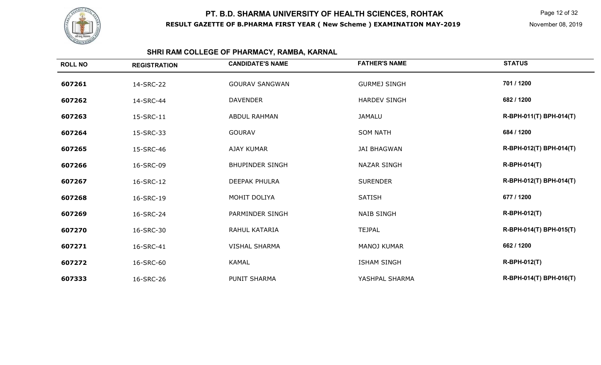

Page 12 of 32

# **SHRI RAM COLLEGE OF PHARMACY, RAMBA, KARNAL**

| <b>ROLL NO</b> | <b>REGISTRATION</b> | <b>CANDIDATE'S NAME</b> | <b>FATHER'S NAME</b> | <b>STATUS</b>           |
|----------------|---------------------|-------------------------|----------------------|-------------------------|
| 607261         | 14-SRC-22           | <b>GOURAV SANGWAN</b>   | <b>GURMEJ SINGH</b>  | 701 / 1200              |
| 607262         | 14-SRC-44           | <b>DAVENDER</b>         | <b>HARDEV SINGH</b>  | 682 / 1200              |
| 607263         | 15-SRC-11           | <b>ABDUL RAHMAN</b>     | <b>JAMALU</b>        | R-BPH-011(T) BPH-014(T) |
| 607264         | 15-SRC-33           | <b>GOURAV</b>           | <b>SOM NATH</b>      | 684 / 1200              |
| 607265         | 15-SRC-46           | <b>AJAY KUMAR</b>       | <b>JAI BHAGWAN</b>   | R-BPH-012(T) BPH-014(T) |
| 607266         | 16-SRC-09           | <b>BHUPINDER SINGH</b>  | <b>NAZAR SINGH</b>   | <b>R-BPH-014(T)</b>     |
| 607267         | 16-SRC-12           | <b>DEEPAK PHULRA</b>    | <b>SURENDER</b>      | R-BPH-012(T) BPH-014(T) |
| 607268         | 16-SRC-19           | MOHIT DOLIYA            | <b>SATISH</b>        | 677 / 1200              |
| 607269         | 16-SRC-24           | PARMINDER SINGH         | <b>NAIB SINGH</b>    | <b>R-BPH-012(T)</b>     |
| 607270         | 16-SRC-30           | RAHUL KATARIA           | <b>TEJPAL</b>        | R-BPH-014(T) BPH-015(T) |
| 607271         | 16-SRC-41           | <b>VISHAL SHARMA</b>    | <b>MANOJ KUMAR</b>   | 662 / 1200              |
| 607272         | 16-SRC-60           | <b>KAMAL</b>            | <b>ISHAM SINGH</b>   | <b>R-BPH-012(T)</b>     |
| 607333         | 16-SRC-26           | <b>PUNIT SHARMA</b>     | YASHPAL SHARMA       | R-BPH-014(T) BPH-016(T) |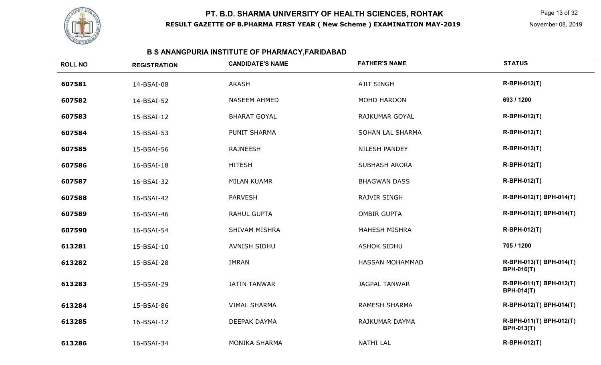

# **B S ANANGPURIA INSTITUTE OF PHARMACY,FARIDABAD**

| <b>ROLL NO</b> | <b>REGISTRATION</b> | <b>CANDIDATE'S NAME</b> | <b>FATHER'S NAME</b> | <b>STATUS</b>                                |
|----------------|---------------------|-------------------------|----------------------|----------------------------------------------|
| 607581         | 14-BSAI-08          | <b>AKASH</b>            | <b>AJIT SINGH</b>    | <b>R-BPH-012(T)</b>                          |
| 607582         | 14-BSAI-52          | NASEEM AHMED            | MOHD HAROON          | 693 / 1200                                   |
| 607583         | 15-BSAI-12          | <b>BHARAT GOYAL</b>     | RAJKUMAR GOYAL       | <b>R-BPH-012(T)</b>                          |
| 607584         | 15-BSAI-53          | <b>PUNIT SHARMA</b>     | SOHAN LAL SHARMA     | <b>R-BPH-012(T)</b>                          |
| 607585         | 15-BSAI-56          | <b>RAJNEESH</b>         | NILESH PANDEY        | <b>R-BPH-012(T)</b>                          |
| 607586         | 16-BSAI-18          | <b>HITESH</b>           | <b>SUBHASH ARORA</b> | R-BPH-012(T)                                 |
| 607587         | 16-BSAI-32          | <b>MILAN KUAMR</b>      | <b>BHAGWAN DASS</b>  | R-BPH-012(T)                                 |
| 607588         | 16-BSAI-42          | <b>PARVESH</b>          | RAJVIR SINGH         | R-BPH-012(T) BPH-014(T)                      |
| 607589         | 16-BSAI-46          | <b>RAHUL GUPTA</b>      | <b>OMBIR GUPTA</b>   | R-BPH-012(T) BPH-014(T)                      |
| 607590         | 16-BSAI-54          | <b>SHIVAM MISHRA</b>    | <b>MAHESH MISHRA</b> | <b>R-BPH-012(T)</b>                          |
| 613281         | 15-BSAI-10          | AVNISH SIDHU            | <b>ASHOK SIDHU</b>   | 705 / 1200                                   |
| 613282         | 15-BSAI-28          | <b>IMRAN</b>            | HASSAN MOHAMMAD      | R-BPH-013(T) BPH-014(T)<br><b>BPH-016(T)</b> |
| 613283         | 15-BSAI-29          | <b>JATIN TANWAR</b>     | <b>JAGPAL TANWAR</b> | R-BPH-011(T) BPH-012(T)<br><b>BPH-014(T)</b> |
| 613284         | 15-BSAI-86          | <b>VIMAL SHARMA</b>     | <b>RAMESH SHARMA</b> | R-BPH-012(T) BPH-014(T)                      |
| 613285         | 16-BSAI-12          | DEEPAK DAYMA            | RAJKUMAR DAYMA       | R-BPH-011(T) BPH-012(T)<br><b>BPH-013(T)</b> |
| 613286         | 16-BSAI-34          | MONIKA SHARMA           | <b>NATHI LAL</b>     | R-BPH-012(T)                                 |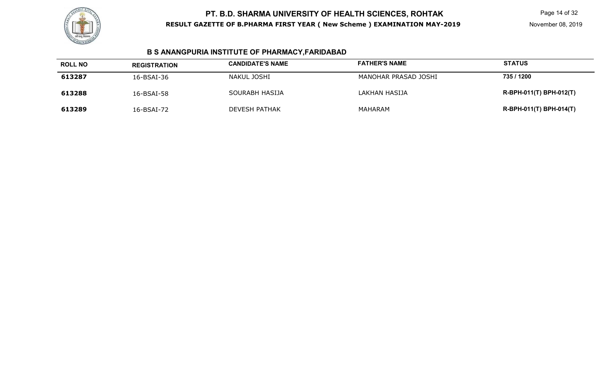

# **B S ANANGPURIA INSTITUTE OF PHARMACY,FARIDABAD**

| <b>ROLL NO</b> | <b>REGISTRATION</b> | <b>CANDIDATE'S NAME</b> | <b>FATHER'S NAME</b> | <b>STATUS</b>           |
|----------------|---------------------|-------------------------|----------------------|-------------------------|
| 613287         | 16-BSAI-36          | NAKUL JOSHI             | MANOHAR PRASAD JOSHI | 735 / 1200              |
| 613288         | 16-BSAI-58          | SOURABH HASIJA          | LAKHAN HASIJA        | R-BPH-011(T) BPH-012(T) |
| 613289         | 16-BSAI-72          | <b>DEVESH PATHAK</b>    | MAHARAM              | R-BPH-011(T) BPH-014(T) |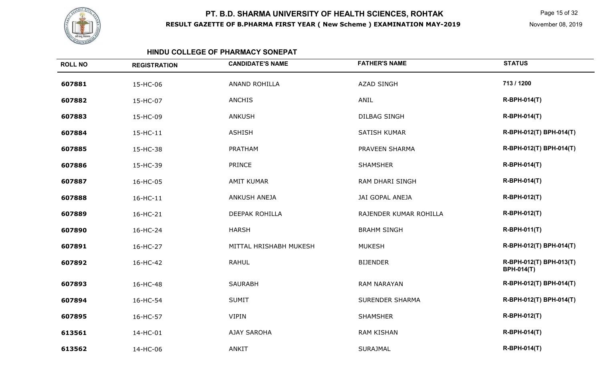

Page 15 of 32

#### **HINDU COLLEGE OF PHARMACY SONEPAT**

| <b>ROLL NO</b> | <b>REGISTRATION</b> | <b>CANDIDATE'S NAME</b> | <b>FATHER'S NAME</b>   | <b>STATUS</b>                                |
|----------------|---------------------|-------------------------|------------------------|----------------------------------------------|
| 607881         | 15-HC-06            | <b>ANAND ROHILLA</b>    | <b>AZAD SINGH</b>      | 713 / 1200                                   |
| 607882         | 15-HC-07            | <b>ANCHIS</b>           | ANIL                   | <b>R-BPH-014(T)</b>                          |
| 607883         | 15-HC-09            | <b>ANKUSH</b>           | <b>DILBAG SINGH</b>    | <b>R-BPH-014(T)</b>                          |
| 607884         | 15-HC-11            | <b>ASHISH</b>           | <b>SATISH KUMAR</b>    | R-BPH-012(T) BPH-014(T)                      |
| 607885         | 15-HC-38            | PRATHAM                 | PRAVEEN SHARMA         | R-BPH-012(T) BPH-014(T)                      |
| 607886         | 15-HC-39            | <b>PRINCE</b>           | <b>SHAMSHER</b>        | <b>R-BPH-014(T)</b>                          |
| 607887         | 16-HC-05            | <b>AMIT KUMAR</b>       | RAM DHARI SINGH        | <b>R-BPH-014(T)</b>                          |
| 607888         | 16-HC-11            | ANKUSH ANEJA            | JAI GOPAL ANEJA        | <b>R-BPH-012(T)</b>                          |
| 607889         | 16-HC-21            | <b>DEEPAK ROHILLA</b>   | RAJENDER KUMAR ROHILLA | <b>R-BPH-012(T)</b>                          |
| 607890         | 16-HC-24            | <b>HARSH</b>            | <b>BRAHM SINGH</b>     | <b>R-BPH-011(T)</b>                          |
| 607891         | 16-HC-27            | MITTAL HRISHABH MUKESH  | <b>MUKESH</b>          | R-BPH-012(T) BPH-014(T)                      |
| 607892         | 16-HC-42            | <b>RAHUL</b>            | <b>BIJENDER</b>        | R-BPH-012(T) BPH-013(T)<br><b>BPH-014(T)</b> |
| 607893         | 16-HC-48            | <b>SAURABH</b>          | <b>RAM NARAYAN</b>     | R-BPH-012(T) BPH-014(T)                      |
| 607894         | 16-HC-54            | <b>SUMIT</b>            | <b>SURENDER SHARMA</b> | R-BPH-012(T) BPH-014(T)                      |
| 607895         | 16-HC-57            | <b>VIPIN</b>            | <b>SHAMSHER</b>        | R-BPH-012(T)                                 |
| 613561         | 14-HC-01            | <b>AJAY SAROHA</b>      | <b>RAM KISHAN</b>      | <b>R-BPH-014(T)</b>                          |
| 613562         | 14-HC-06            | <b>ANKIT</b>            | <b>SURAJMAL</b>        | <b>R-BPH-014(T)</b>                          |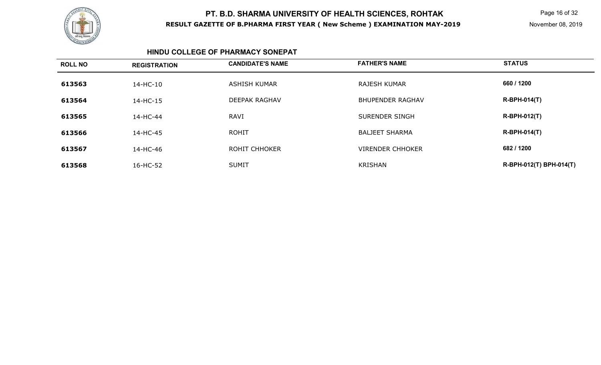

Page 16 of 32

November 08, 2019

#### **HINDU COLLEGE OF PHARMACY SONEPAT**

| <b>ROLL NO</b> | <b>REGISTRATION</b> | <b>CANDIDATE'S NAME</b> | <b>FATHER'S NAME</b>    | <b>STATUS</b>           |
|----------------|---------------------|-------------------------|-------------------------|-------------------------|
| 613563         | 14-HC-10            | ASHISH KUMAR            | RAJESH KUMAR            | 660 / 1200              |
| 613564         | 14-HC-15            | <b>DEEPAK RAGHAV</b>    | <b>BHUPENDER RAGHAV</b> | <b>R-BPH-014(T)</b>     |
| 613565         | 14-HC-44            | <b>RAVI</b>             | SURENDER SINGH          | <b>R-BPH-012(T)</b>     |
| 613566         | 14-HC-45            | <b>ROHIT</b>            | <b>BALJEET SHARMA</b>   | <b>R-BPH-014(T)</b>     |
| 613567         | 14-HC-46            | ROHIT CHHOKER           | <b>VIRENDER CHHOKER</b> | 682 / 1200              |
| 613568         | 16-HC-52            | <b>SUMIT</b>            | <b>KRISHAN</b>          | R-BPH-012(T) BPH-014(T) |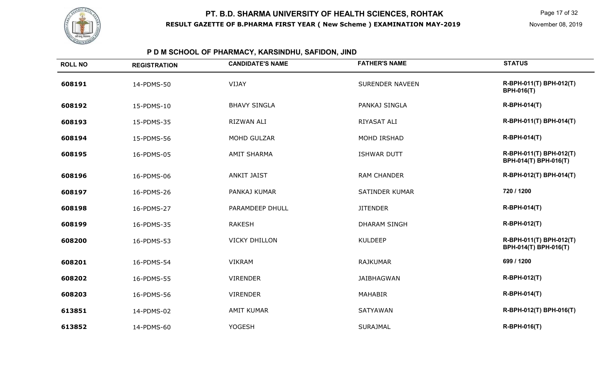

# **P D M SCHOOL OF PHARMACY, KARSINDHU, SAFIDON, JIND**

| <b>ROLL NO</b> | <b>REGISTRATION</b> | <b>CANDIDATE'S NAME</b> | <b>FATHER'S NAME</b>   | <b>STATUS</b>                                    |
|----------------|---------------------|-------------------------|------------------------|--------------------------------------------------|
| 608191         | 14-PDMS-50          | VIJAY                   | <b>SURENDER NAVEEN</b> | R-BPH-011(T) BPH-012(T)<br><b>BPH-016(T)</b>     |
| 608192         | 15-PDMS-10          | <b>BHAVY SINGLA</b>     | PANKAJ SINGLA          | <b>R-BPH-014(T)</b>                              |
| 608193         | 15-PDMS-35          | <b>RIZWAN ALI</b>       | RIYASAT ALI            | R-BPH-011(T) BPH-014(T)                          |
| 608194         | 15-PDMS-56          | MOHD GULZAR             | MOHD IRSHAD            | <b>R-BPH-014(T)</b>                              |
| 608195         | 16-PDMS-05          | <b>AMIT SHARMA</b>      | <b>ISHWAR DUTT</b>     | R-BPH-011(T) BPH-012(T)<br>BPH-014(T) BPH-016(T) |
| 608196         | 16-PDMS-06          | <b>ANKIT JAIST</b>      | <b>RAM CHANDER</b>     | R-BPH-012(T) BPH-014(T)                          |
| 608197         | 16-PDMS-26          | PANKAJ KUMAR            | <b>SATINDER KUMAR</b>  | 720 / 1200                                       |
| 608198         | 16-PDMS-27          | PARAMDEEP DHULL         | <b>JITENDER</b>        | <b>R-BPH-014(T)</b>                              |
| 608199         | 16-PDMS-35          | <b>RAKESH</b>           | <b>DHARAM SINGH</b>    | R-BPH-012(T)                                     |
| 608200         | 16-PDMS-53          | <b>VICKY DHILLON</b>    | <b>KULDEEP</b>         | R-BPH-011(T) BPH-012(T)<br>BPH-014(T) BPH-016(T) |
| 608201         | 16-PDMS-54          | <b>VIKRAM</b>           | <b>RAJKUMAR</b>        | 699 / 1200                                       |
| 608202         | 16-PDMS-55          | <b>VIRENDER</b>         | <b>JAIBHAGWAN</b>      | R-BPH-012(T)                                     |
| 608203         | 16-PDMS-56          | <b>VIRENDER</b>         | <b>MAHABIR</b>         | <b>R-BPH-014(T)</b>                              |
| 613851         | 14-PDMS-02          | <b>AMIT KUMAR</b>       | <b>SATYAWAN</b>        | R-BPH-012(T) BPH-016(T)                          |
| 613852         | 14-PDMS-60          | <b>YOGESH</b>           | <b>SURAJMAL</b>        | R-BPH-016(T)                                     |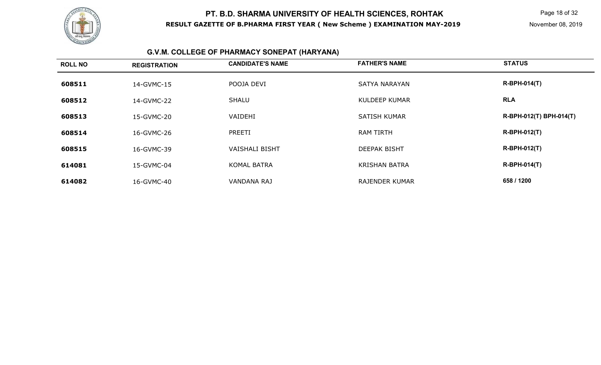

# **G.V.M. COLLEGE OF PHARMACY SONEPAT (HARYANA)**

| <b>ROLL NO</b> | <b>REGISTRATION</b> | <b>CANDIDATE'S NAME</b> | <b>FATHER'S NAME</b>  | <b>STATUS</b>           |
|----------------|---------------------|-------------------------|-----------------------|-------------------------|
| 608511         | 14-GVMC-15          | POOJA DEVI              | <b>SATYA NARAYAN</b>  | <b>R-BPH-014(T)</b>     |
| 608512         | 14-GVMC-22          | <b>SHALU</b>            | <b>KULDEEP KUMAR</b>  | <b>RLA</b>              |
| 608513         | 15-GVMC-20          | VAIDEHI                 | <b>SATISH KUMAR</b>   | R-BPH-012(T) BPH-014(T) |
| 608514         | 16-GVMC-26          | PREETI                  | <b>RAM TIRTH</b>      | <b>R-BPH-012(T)</b>     |
| 608515         | 16-GVMC-39          | <b>VAISHALI BISHT</b>   | <b>DEEPAK BISHT</b>   | <b>R-BPH-012(T)</b>     |
| 614081         | 15-GVMC-04          | <b>KOMAL BATRA</b>      | <b>KRISHAN BATRA</b>  | <b>R-BPH-014(T)</b>     |
| 614082         | 16-GVMC-40          | <b>VANDANA RAJ</b>      | <b>RAJENDER KUMAR</b> | 658 / 1200              |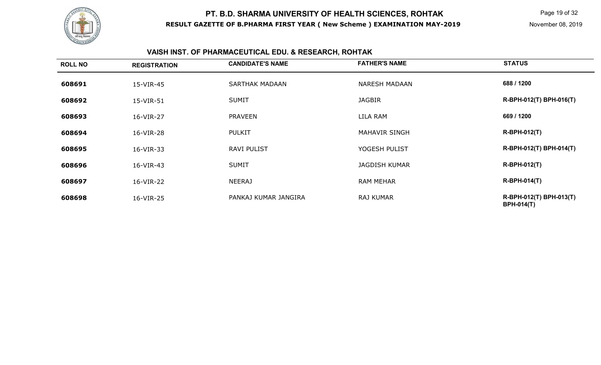

# **VAISH INST. OF PHARMACEUTICAL EDU. & RESEARCH, ROHTAK**

| <b>ROLL NO</b> | <b>REGISTRATION</b> | <b>CANDIDATE'S NAME</b> | <b>FATHER'S NAME</b> | <b>STATUS</b>                                |
|----------------|---------------------|-------------------------|----------------------|----------------------------------------------|
| 608691         | 15-VIR-45           | <b>SARTHAK MADAAN</b>   | <b>NARESH MADAAN</b> | 688 / 1200                                   |
| 608692         | 15-VIR-51           | <b>SUMIT</b>            | <b>JAGBIR</b>        | R-BPH-012(T) BPH-016(T)                      |
| 608693         | 16-VIR-27           | <b>PRAVEEN</b>          | LILA RAM             | 669 / 1200                                   |
| 608694         | 16-VIR-28           | <b>PULKIT</b>           | <b>MAHAVIR SINGH</b> | <b>R-BPH-012(T)</b>                          |
| 608695         | 16-VIR-33           | <b>RAVI PULIST</b>      | YOGESH PULIST        | R-BPH-012(T) BPH-014(T)                      |
| 608696         | 16-VIR-43           | <b>SUMIT</b>            | <b>JAGDISH KUMAR</b> | <b>R-BPH-012(T)</b>                          |
| 608697         | 16-VIR-22           | <b>NEERAJ</b>           | <b>RAM MEHAR</b>     | $R-BPH-014(T)$                               |
| 608698         | 16-VIR-25           | PANKAJ KUMAR JANGIRA    | <b>RAJ KUMAR</b>     | R-BPH-012(T) BPH-013(T)<br><b>BPH-014(T)</b> |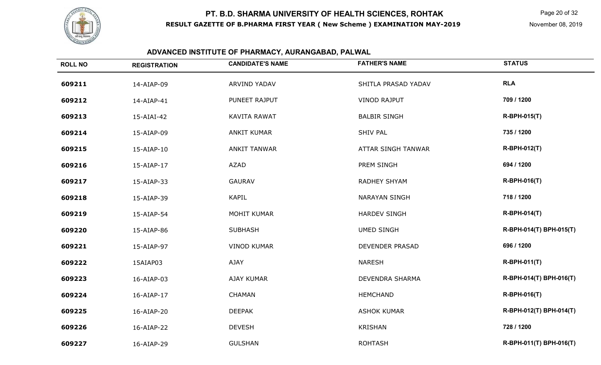

# **ADVANCED INSTITUTE OF PHARMACY, AURANGABAD, PALWAL**

| <b>ROLL NO</b> | <b>REGISTRATION</b> | <b>CANDIDATE'S NAME</b> | <b>FATHER'S NAME</b>   | <b>STATUS</b>           |
|----------------|---------------------|-------------------------|------------------------|-------------------------|
| 609211         | 14-AIAP-09          | ARVIND YADAV            | SHITLA PRASAD YADAV    | <b>RLA</b>              |
| 609212         | 14-AIAP-41          | PUNEET RAJPUT           | <b>VINOD RAJPUT</b>    | 709 / 1200              |
| 609213         | 15-AIAI-42          | KAVITA RAWAT            | <b>BALBIR SINGH</b>    | <b>R-BPH-015(T)</b>     |
| 609214         | 15-AIAP-09          | <b>ANKIT KUMAR</b>      | <b>SHIV PAL</b>        | 735 / 1200              |
| 609215         | 15-AIAP-10          | <b>ANKIT TANWAR</b>     | ATTAR SINGH TANWAR     | <b>R-BPH-012(T)</b>     |
| 609216         | 15-AIAP-17          | AZAD                    | PREM SINGH             | 694 / 1200              |
| 609217         | 15-AIAP-33          | <b>GAURAV</b>           | RADHEY SHYAM           | <b>R-BPH-016(T)</b>     |
| 609218         | 15-AIAP-39          | <b>KAPIL</b>            | <b>NARAYAN SINGH</b>   | 718 / 1200              |
| 609219         | 15-AIAP-54          | <b>MOHIT KUMAR</b>      | <b>HARDEV SINGH</b>    | <b>R-BPH-014(T)</b>     |
| 609220         | 15-AIAP-86          | <b>SUBHASH</b>          | <b>UMED SINGH</b>      | R-BPH-014(T) BPH-015(T) |
| 609221         | 15-AIAP-97          | <b>VINOD KUMAR</b>      | DEVENDER PRASAD        | 696 / 1200              |
| 609222         | 15AIAP03            | <b>AJAY</b>             | <b>NARESH</b>          | <b>R-BPH-011(T)</b>     |
| 609223         | 16-AIAP-03          | AJAY KUMAR              | <b>DEVENDRA SHARMA</b> | R-BPH-014(T) BPH-016(T) |
| 609224         | 16-AIAP-17          | <b>CHAMAN</b>           | <b>HEMCHAND</b>        | <b>R-BPH-016(T)</b>     |
| 609225         | 16-AIAP-20          | <b>DEEPAK</b>           | <b>ASHOK KUMAR</b>     | R-BPH-012(T) BPH-014(T) |
| 609226         | 16-AIAP-22          | <b>DEVESH</b>           | <b>KRISHAN</b>         | 728 / 1200              |
| 609227         | 16-AIAP-29          | <b>GULSHAN</b>          | <b>ROHTASH</b>         | R-BPH-011(T) BPH-016(T) |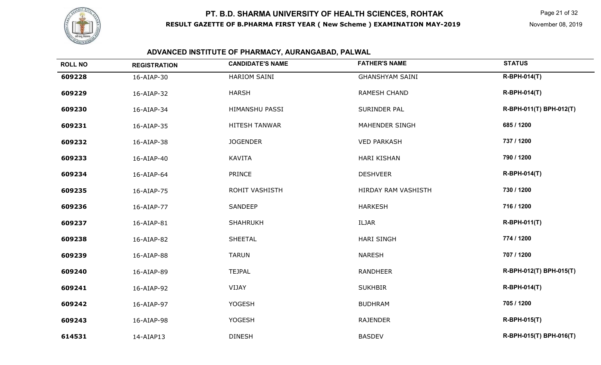

#### November 08, 2019

# **ADVANCED INSTITUTE OF PHARMACY, AURANGABAD, PALWAL**

| <b>ROLL NO</b> | <b>REGISTRATION</b> | <b>CANDIDATE'S NAME</b> | <b>FATHER'S NAME</b>   | <b>STATUS</b>           |
|----------------|---------------------|-------------------------|------------------------|-------------------------|
| 609228         | 16-AIAP-30          | HARIOM SAINI            | <b>GHANSHYAM SAINI</b> | <b>R-BPH-014(T)</b>     |
| 609229         | 16-AIAP-32          | <b>HARSH</b>            | <b>RAMESH CHAND</b>    | <b>R-BPH-014(T)</b>     |
| 609230         | 16-AIAP-34          | HIMANSHU PASSI          | SURINDER PAL           | R-BPH-011(T) BPH-012(T) |
| 609231         | 16-AIAP-35          | HITESH TANWAR           | MAHENDER SINGH         | 685 / 1200              |
| 609232         | 16-AIAP-38          | <b>JOGENDER</b>         | <b>VED PARKASH</b>     | 737 / 1200              |
| 609233         | 16-AIAP-40          | <b>KAVITA</b>           | <b>HARI KISHAN</b>     | 790 / 1200              |
| 609234         | 16-AIAP-64          | PRINCE                  | <b>DESHVEER</b>        | <b>R-BPH-014(T)</b>     |
| 609235         | 16-AIAP-75          | ROHIT VASHISTH          | HIRDAY RAM VASHISTH    | 730 / 1200              |
| 609236         | 16-AIAP-77          | SANDEEP                 | <b>HARKESH</b>         | 716 / 1200              |
| 609237         | 16-AIAP-81          | <b>SHAHRUKH</b>         | ILJAR                  | <b>R-BPH-011(T)</b>     |
| 609238         | 16-AIAP-82          | <b>SHEETAL</b>          | <b>HARI SINGH</b>      | 774 / 1200              |
| 609239         | 16-AIAP-88          | <b>TARUN</b>            | <b>NARESH</b>          | 707 / 1200              |
| 609240         | 16-AIAP-89          | <b>TEJPAL</b>           | <b>RANDHEER</b>        | R-BPH-012(T) BPH-015(T) |
| 609241         | 16-AIAP-92          | VIJAY                   | <b>SUKHBIR</b>         | <b>R-BPH-014(T)</b>     |
| 609242         | 16-AIAP-97          | <b>YOGESH</b>           | <b>BUDHRAM</b>         | 705 / 1200              |
| 609243         | 16-AIAP-98          | <b>YOGESH</b>           | <b>RAJENDER</b>        | <b>R-BPH-015(T)</b>     |
| 614531         | 14-AIAP13           | <b>DINESH</b>           | <b>BASDEV</b>          | R-BPH-015(T) BPH-016(T) |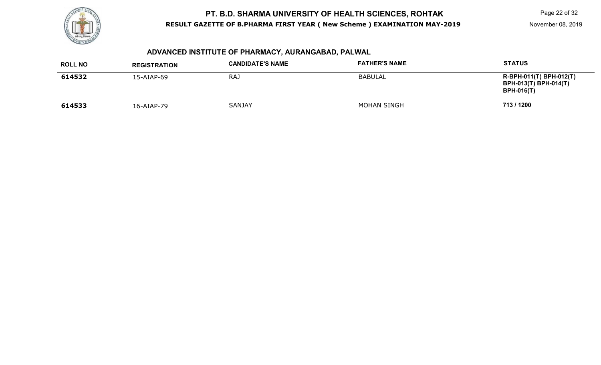

# **ADVANCED INSTITUTE OF PHARMACY, AURANGABAD, PALWAL**

| <b>ROLL NO</b> | <b>REGISTRATION</b> | <b>CANDIDATE'S NAME</b> | <b>FATHER'S NAME</b> | <b>STATUS</b>                                                                |
|----------------|---------------------|-------------------------|----------------------|------------------------------------------------------------------------------|
| 614532         | $15 - AIAP - 69$    | <b>RAJ</b>              | BABULAL              | R-BPH-011(T) BPH-012(T)<br><b>BPH-013(T) BPH-014(T)</b><br><b>BPH-016(T)</b> |
| 614533         | 16-AIAP-79          | <b>SANJAY</b>           | <b>MOHAN SINGH</b>   | 713 / 1200                                                                   |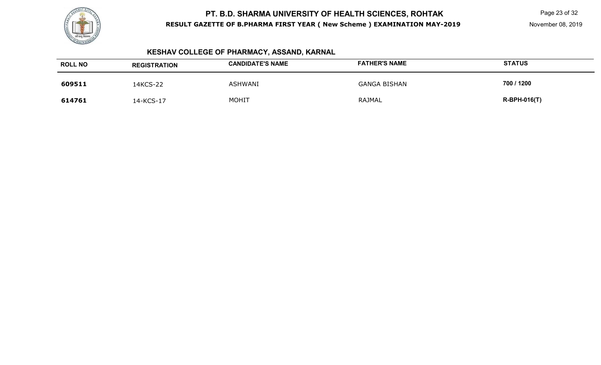

# **KESHAV COLLEGE OF PHARMACY, ASSAND, KARNAL**

| <b>ROLL NO</b> | <b>REGISTRATION</b> | <b>CANDIDATE'S NAME</b> | <b>FATHER'S NAME</b> | <b>STATUS</b>  |
|----------------|---------------------|-------------------------|----------------------|----------------|
| 609511         | 14KCS-22            | <b>ASHWANI</b>          | <b>GANGA BISHAN</b>  | 700 / 1200     |
| 614761         | 14-KCS-17           | <b>MOHIT</b>            | RAJMAL               | $R-BPH-016(T)$ |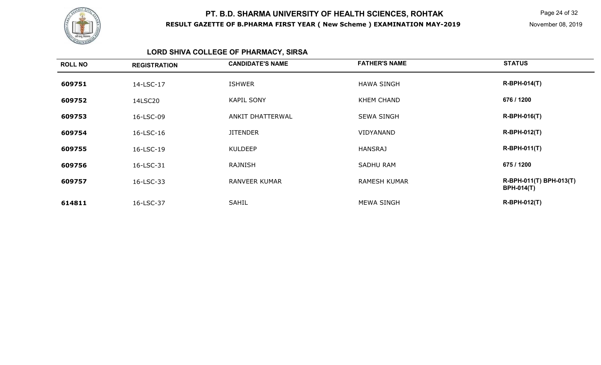

Page 24 of 32

# **LORD SHIVA COLLEGE OF PHARMACY, SIRSA**

| <b>ROLL NO</b> | <b>REGISTRATION</b> | <b>CANDIDATE'S NAME</b> | <b>FATHER'S NAME</b> | <b>STATUS</b>                                |
|----------------|---------------------|-------------------------|----------------------|----------------------------------------------|
| 609751         | 14-LSC-17           | <b>ISHWER</b>           | <b>HAWA SINGH</b>    | <b>R-BPH-014(T)</b>                          |
| 609752         | 14LSC20             | <b>KAPIL SONY</b>       | <b>KHEM CHAND</b>    | 676 / 1200                                   |
| 609753         | 16-LSC-09           | <b>ANKIT DHATTERWAL</b> | <b>SEWA SINGH</b>    | $R-BPH-016(T)$                               |
| 609754         | 16-LSC-16           | <b>JITENDER</b>         | VIDYANAND            | <b>R-BPH-012(T)</b>                          |
| 609755         | 16-LSC-19           | <b>KULDEEP</b>          | <b>HANSRAJ</b>       | $R-BPH-011(T)$                               |
| 609756         | 16-LSC-31           | <b>RAJNISH</b>          | <b>SADHU RAM</b>     | 675 / 1200                                   |
| 609757         | 16-LSC-33           | <b>RANVEER KUMAR</b>    | <b>RAMESH KUMAR</b>  | R-BPH-011(T) BPH-013(T)<br><b>BPH-014(T)</b> |
| 614811         | 16-LSC-37           | <b>SAHIL</b>            | <b>MEWA SINGH</b>    | <b>R-BPH-012(T)</b>                          |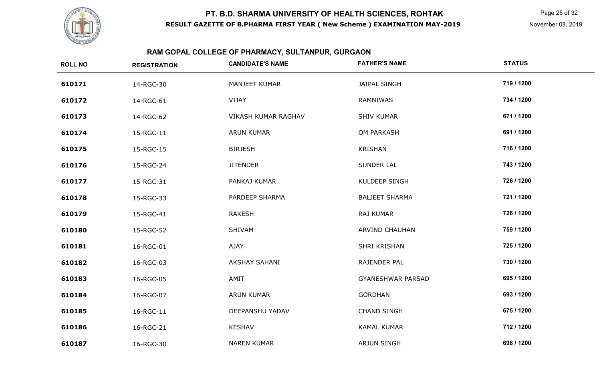

# **RAM GOPAL COLLEGE OF PHARMACY, SULTANPUR, GURGAON**

| <b>ROLL NO</b> | <b>REGISTRATION</b> | <b>CANDIDATE'S NAME</b> | <b>FATHER'S NAME</b>     | <b>STATUS</b> |
|----------------|---------------------|-------------------------|--------------------------|---------------|
| 610171         | 14-RGC-30           | MANJEET KUMAR           | <b>JAIPAL SINGH</b>      | 719 / 1200    |
| 610172         | 14-RGC-61           | VIJAY                   | RAMNIWAS                 | 734 / 1200    |
| 610173         | 14-RGC-62           | VIKASH KUMAR RAGHAV     | <b>SHIV KUMAR</b>        | 671 / 1200    |
| 610174         | 15-RGC-11           | <b>ARUN KUMAR</b>       | OM PARKASH               | 691 / 1200    |
| 610175         | 15-RGC-15           | <b>BIRJESH</b>          | <b>KRISHAN</b>           | 716 / 1200    |
| 610176         | 15-RGC-24           | <b>JITENDER</b>         | <b>SUNDER LAL</b>        | 743 / 1200    |
| 610177         | 15-RGC-31           | PANKAJ KUMAR            | KULDEEP SINGH            | 726 / 1200    |
| 610178         | 15-RGC-33           | PARDEEP SHARMA          | <b>BALJEET SHARMA</b>    | 721 / 1200    |
| 610179         | 15-RGC-41           | <b>RAKESH</b>           | <b>RAJ KUMAR</b>         | 726 / 1200    |
| 610180         | 15-RGC-52           | SHIVAM                  | <b>ARVIND CHAUHAN</b>    | 759 / 1200    |
| 610181         | 16-RGC-01           | AJAY                    | SHRI KRISHAN             | 725 / 1200    |
| 610182         | 16-RGC-03           | <b>AKSHAY SAHANI</b>    | RAJENDER PAL             | 730 / 1200    |
| 610183         | 16-RGC-05           | AMIT                    | <b>GYANESHWAR PARSAD</b> | 695 / 1200    |
| 610184         | 16-RGC-07           | <b>ARUN KUMAR</b>       | <b>GORDHAN</b>           | 693 / 1200    |
| 610185         | 16-RGC-11           | DEEPANSHU YADAV         | <b>CHAND SINGH</b>       | 675 / 1200    |
| 610186         | 16-RGC-21           | <b>KESHAV</b>           | <b>KAMAL KUMAR</b>       | 712 / 1200    |
| 610187         | 16-RGC-30           | <b>NAREN KUMAR</b>      | <b>ARJUN SINGH</b>       | 698 / 1200    |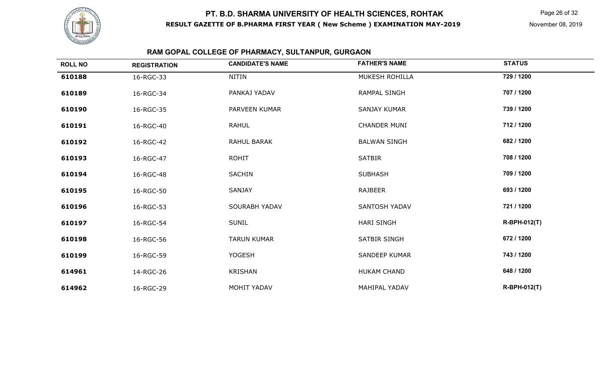

# **RAM GOPAL COLLEGE OF PHARMACY, SULTANPUR, GURGAON**

| <b>ROLL NO</b> | <b>REGISTRATION</b> | <b>CANDIDATE'S NAME</b> | <b>FATHER'S NAME</b> | <b>STATUS</b>       |
|----------------|---------------------|-------------------------|----------------------|---------------------|
| 610188         | 16-RGC-33           | NITIN                   | MUKESH ROHILLA       | 729 / 1200          |
| 610189         | 16-RGC-34           | PANKAJ YADAV            | <b>RAMPAL SINGH</b>  | 707 / 1200          |
| 610190         | 16-RGC-35           | PARVEEN KUMAR           | <b>SANJAY KUMAR</b>  | 739 / 1200          |
| 610191         | 16-RGC-40           | RAHUL                   | <b>CHANDER MUNI</b>  | 712 / 1200          |
| 610192         | 16-RGC-42           | RAHUL BARAK             | <b>BALWAN SINGH</b>  | 682 / 1200          |
| 610193         | 16-RGC-47           | <b>ROHIT</b>            | <b>SATBIR</b>        | 708 / 1200          |
| 610194         | 16-RGC-48           | <b>SACHIN</b>           | <b>SUBHASH</b>       | 709 / 1200          |
| 610195         | 16-RGC-50           | <b>SANJAY</b>           | <b>RAJBEER</b>       | 693 / 1200          |
| 610196         | 16-RGC-53           | <b>SOURABH YADAV</b>    | SANTOSH YADAV        | 721 / 1200          |
| 610197         | 16-RGC-54           | <b>SUNIL</b>            | <b>HARI SINGH</b>    | R-BPH-012(T)        |
| 610198         | 16-RGC-56           | <b>TARUN KUMAR</b>      | SATBIR SINGH         | 672 / 1200          |
| 610199         | 16-RGC-59           | <b>YOGESH</b>           | <b>SANDEEP KUMAR</b> | 743 / 1200          |
| 614961         | 14-RGC-26           | <b>KRISHAN</b>          | <b>HUKAM CHAND</b>   | 648 / 1200          |
| 614962         | 16-RGC-29           | <b>MOHIT YADAV</b>      | MAHIPAL YADAV        | <b>R-BPH-012(T)</b> |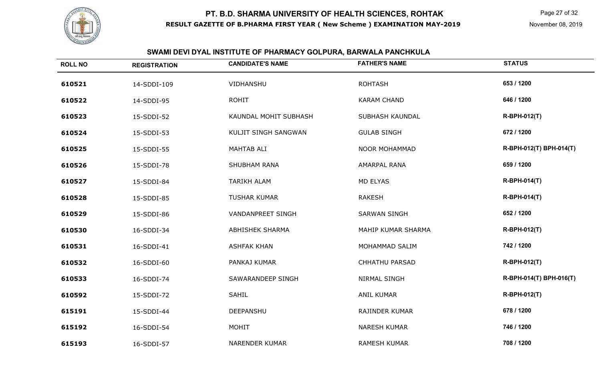

# **SWAMI DEVI DYAL INSTITUTE OF PHARMACY GOLPURA, BARWALA PANCHKULA**

| <b>ROLL NO</b> | <b>REGISTRATION</b> | <b>CANDIDATE'S NAME</b>  | <b>FATHER'S NAME</b>  | <b>STATUS</b>           |
|----------------|---------------------|--------------------------|-----------------------|-------------------------|
| 610521         | 14-SDDI-109         | VIDHANSHU                | <b>ROHTASH</b>        | 653 / 1200              |
| 610522         | 14-SDDI-95          | <b>ROHIT</b>             | <b>KARAM CHAND</b>    | 646 / 1200              |
| 610523         | 15-SDDI-52          | KAUNDAL MOHIT SUBHASH    | SUBHASH KAUNDAL       | <b>R-BPH-012(T)</b>     |
| 610524         | 15-SDDI-53          | KULJIT SINGH SANGWAN     | <b>GULAB SINGH</b>    | 672 / 1200              |
| 610525         | 15-SDDI-55          | MAHTAB ALI               | NOOR MOHAMMAD         | R-BPH-012(T) BPH-014(T) |
| 610526         | 15-SDDI-78          | SHUBHAM RANA             | <b>AMARPAL RANA</b>   | 659 / 1200              |
| 610527         | 15-SDDI-84          | <b>TARIKH ALAM</b>       | MD ELYAS              | <b>R-BPH-014(T)</b>     |
| 610528         | 15-SDDI-85          | <b>TUSHAR KUMAR</b>      | <b>RAKESH</b>         | <b>R-BPH-014(T)</b>     |
| 610529         | 15-SDDI-86          | <b>VANDANPREET SINGH</b> | <b>SARWAN SINGH</b>   | 652 / 1200              |
| 610530         | 16-SDDI-34          | ABHISHEK SHARMA          | MAHIP KUMAR SHARMA    | R-BPH-012(T)            |
| 610531         | 16-SDDI-41          | <b>ASHFAK KHAN</b>       | MOHAMMAD SALIM        | 742 / 1200              |
| 610532         | 16-SDDI-60          | PANKAJ KUMAR             | <b>CHHATHU PARSAD</b> | R-BPH-012(T)            |
| 610533         | 16-SDDI-74          | SAWARANDEEP SINGH        | NIRMAL SINGH          | R-BPH-014(T) BPH-016(T) |
| 610592         | 15-SDDI-72          | <b>SAHIL</b>             | <b>ANIL KUMAR</b>     | R-BPH-012(T)            |
| 615191         | 15-SDDI-44          | DEEPANSHU                | RAJINDER KUMAR        | 678 / 1200              |
| 615192         | 16-SDDI-54          | MOHIT                    | <b>NARESH KUMAR</b>   | 746 / 1200              |
| 615193         | 16-SDDI-57          | <b>NARENDER KUMAR</b>    | <b>RAMESH KUMAR</b>   | 708 / 1200              |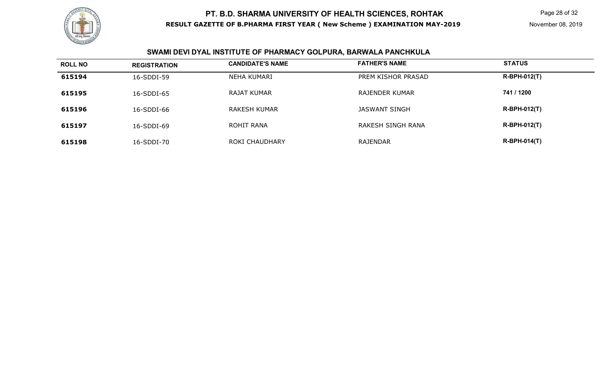

# **SWAMI DEVI DYAL INSTITUTE OF PHARMACY GOLPURA, BARWALA PANCHKULA**

| <b>ROLL NO</b> | <b>REGISTRATION</b> | <b>CANDIDATE'S NAME</b> | <b>FATHER'S NAME</b>  | <b>STATUS</b>       |
|----------------|---------------------|-------------------------|-----------------------|---------------------|
| 615194         | 16-SDDI-59          | NEHA KUMARI             | PREM KISHOR PRASAD    | $R-BPH-012(T)$      |
| 615195         | 16-SDDI-65          | <b>RAJAT KUMAR</b>      | <b>RAJENDER KUMAR</b> | 741 / 1200          |
| 615196         | 16-SDDI-66          | RAKESH KUMAR            | JASWANT SINGH         | $R-BPH-012(T)$      |
| 615197         | 16-SDDI-69          | ROHIT RANA              | RAKESH SINGH RANA     | $R-BPH-012(T)$      |
| 615198         | 16-SDDI-70          | ROKI CHAUDHARY          | RAJENDAR              | <b>R-BPH-014(T)</b> |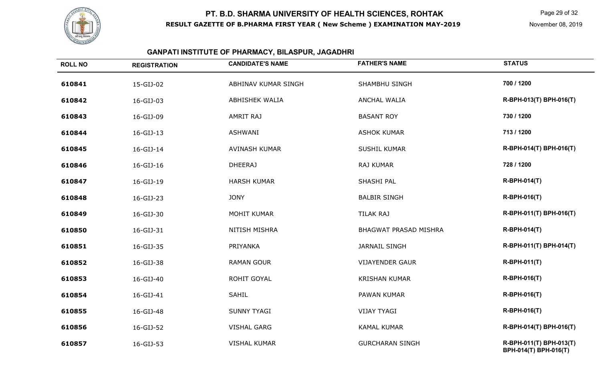

#### **GANPATI INSTITUTE OF PHARMACY, BILASPUR, JAGADHRI**

| <b>ROLL NO</b> | <b>REGISTRATION</b> | <b>CANDIDATE'S NAME</b> | <b>FATHER'S NAME</b>         | <b>STATUS</b>                                    |
|----------------|---------------------|-------------------------|------------------------------|--------------------------------------------------|
| 610841         | 15-GIJ-02           | ABHINAV KUMAR SINGH     | SHAMBHU SINGH                | 700 / 1200                                       |
| 610842         | 16-GIJ-03           | <b>ABHISHEK WALIA</b>   | <b>ANCHAL WALIA</b>          | R-BPH-013(T) BPH-016(T)                          |
| 610843         | 16-GIJ-09           | <b>AMRIT RAJ</b>        | <b>BASANT ROY</b>            | 730 / 1200                                       |
| 610844         | 16-GIJ-13           | <b>ASHWANI</b>          | <b>ASHOK KUMAR</b>           | 713 / 1200                                       |
| 610845         | 16-GIJ-14           | AVINASH KUMAR           | <b>SUSHIL KUMAR</b>          | R-BPH-014(T) BPH-016(T)                          |
| 610846         | 16-GIJ-16           | <b>DHEERAJ</b>          | RAJ KUMAR                    | 728 / 1200                                       |
| 610847         | 16-GIJ-19           | <b>HARSH KUMAR</b>      | SHASHI PAL                   | R-BPH-014(T)                                     |
| 610848         | 16-GIJ-23           | <b>JONY</b>             | <b>BALBIR SINGH</b>          | R-BPH-016(T)                                     |
| 610849         | 16-GIJ-30           | <b>MOHIT KUMAR</b>      | <b>TILAK RAJ</b>             | R-BPH-011(T) BPH-016(T)                          |
| 610850         | 16-GIJ-31           | <b>NITISH MISHRA</b>    | <b>BHAGWAT PRASAD MISHRA</b> | <b>R-BPH-014(T)</b>                              |
| 610851         | 16-GIJ-35           | PRIYANKA                | <b>JARNAIL SINGH</b>         | R-BPH-011(T) BPH-014(T)                          |
| 610852         | 16-GIJ-38           | <b>RAMAN GOUR</b>       | <b>VIJAYENDER GAUR</b>       | R-BPH-011(T)                                     |
| 610853         | 16-GIJ-40           | ROHIT GOYAL             | <b>KRISHAN KUMAR</b>         | R-BPH-016(T)                                     |
| 610854         | 16-GIJ-41           | SAHIL                   | PAWAN KUMAR                  | R-BPH-016(T)                                     |
| 610855         | 16-GIJ-48           | <b>SUNNY TYAGI</b>      | <b>VIJAY TYAGI</b>           | R-BPH-016(T)                                     |
| 610856         | 16-GIJ-52           | <b>VISHAL GARG</b>      | <b>KAMAL KUMAR</b>           | R-BPH-014(T) BPH-016(T)                          |
| 610857         | 16-GIJ-53           | <b>VISHAL KUMAR</b>     | <b>GURCHARAN SINGH</b>       | R-BPH-011(T) BPH-013(T)<br>BPH-014(T) BPH-016(T) |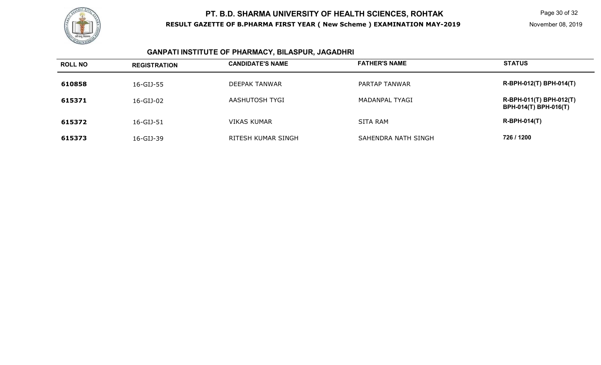

#### **GANPATI INSTITUTE OF PHARMACY, BILASPUR, JAGADHRI**

| <b>ROLL NO</b> | <b>REGISTRATION</b> | <b>CANDIDATE'S NAME</b> | <b>FATHER'S NAME</b> | <b>STATUS</b>                                           |
|----------------|---------------------|-------------------------|----------------------|---------------------------------------------------------|
| 610858         | 16-GIJ-55           | DEEPAK TANWAR           | PARTAP TANWAR        | R-BPH-012(T) BPH-014(T)                                 |
| 615371         | 16-GIJ-02           | AASHUTOSH TYGI          | MADANPAL TYAGI       | R-BPH-011(T) BPH-012(T)<br><b>BPH-014(T) BPH-016(T)</b> |
| 615372         | 16-GIJ-51           | <b>VIKAS KUMAR</b>      | <b>SITA RAM</b>      | $R-BPH-014(T)$                                          |
| 615373         | 16-GIJ-39           | RITESH KUMAR SINGH      | SAHENDRA NATH SINGH  | 726 / 1200                                              |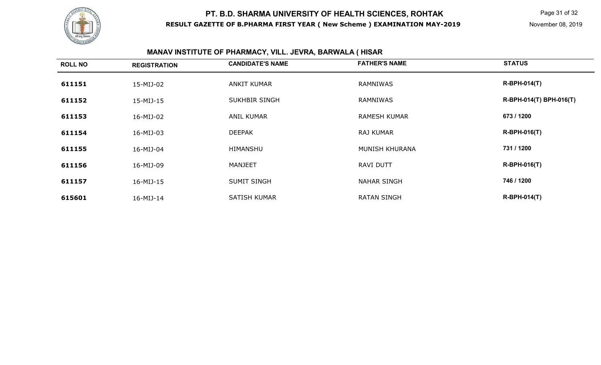

#### **FATHER'S NAME ROLL NO REGISTRATION CANDIDATE'S NAME FATHER'S NAME STATUS 611151**1 15-MIJ-02 ANKIT KUMAR RAMNIWAS RAMNIWAS **611152** 15-MIJ-15 SUKHBIR SINGH RAMNIWAS **R-BPH-014(T) BPH-016(T) 611153** 16-MIJ-02 ANIL KUMAR RAMESH KUMAR **673 / 1200 611154** 16-MIJ-03 DEEPAK RAJ KUMAR **R-BPH-016(T) 611155** 16-MIJ-04 HIMANSHU MUNISH KHURANA **731 / 1200 611156** 16-MIJ-09 MANJEET RAVI DUTT **R-BPH-016(T) 611157** 16-MIJ-15 SUMIT SINGH NAHAR SINGH **746 / 1200 6156011** 16-MIJ-14 SATISH KUMAR RATAN SINGH RATAN SINGH R-BPH-014(T)

#### **MANAV INSTITUTE OF PHARMACY, VILL. JEVRA, BARWALA ( HISAR**